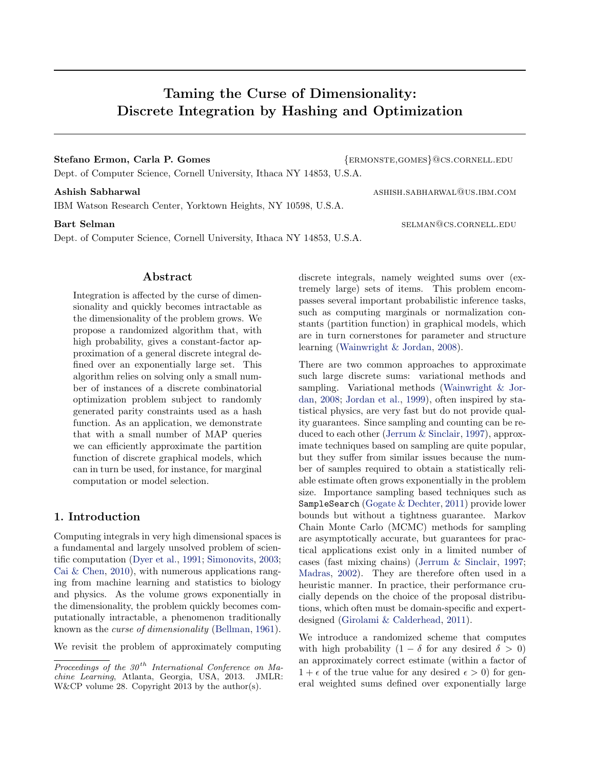# Stefano Ermon, Carla P. Gomes  $\{ERMONSTE, GOMES\}$ @cs.cornell.edu

Dept. of Computer Science, Cornell University, Ithaca NY 14853, U.S.A.

IBM Watson Research Center, Yorktown Heights, NY 10598, U.S.A.

Dept. of Computer Science, Cornell University, Ithaca NY 14853, U.S.A.

## Abstract

Integration is affected by the curse of dimensionality and quickly becomes intractable as the dimensionality of the problem grows. We propose a randomized algorithm that, with high probability, gives a constant-factor approximation of a general discrete integral defined over an exponentially large set. This algorithm relies on solving only a small number of instances of a discrete combinatorial optimization problem subject to randomly generated parity constraints used as a hash function. As an application, we demonstrate that with a small number of MAP queries we can efficiently approximate the partition function of discrete graphical models, which can in turn be used, for instance, for marginal computation or model selection.

## 1. Introduction

Computing integrals in very high dimensional spaces is a fundamental and largely unsolved problem of scientific computation [\(Dyer et al.,](#page-8-0) [1991;](#page-8-0) [Simonovits,](#page-8-0) [2003;](#page-8-0) [Cai & Chen,](#page-8-0) [2010\)](#page-8-0), with numerous applications ranging from machine learning and statistics to biology and physics. As the volume grows exponentially in the dimensionality, the problem quickly becomes computationally intractable, a phenomenon traditionally known as the curse of dimensionality [\(Bellman,](#page-8-0) [1961\)](#page-8-0).

We revisit the problem of approximately computing

Ashish Sabharwal ashish Sabharwal ashish.sabharwal ashish.sabharwal

Bart Selman selman selman selman selman selman selman selman selman selman selman selman selman selman selman sel

discrete integrals, namely weighted sums over (extremely large) sets of items. This problem encompasses several important probabilistic inference tasks, such as computing marginals or normalization constants (partition function) in graphical models, which are in turn cornerstones for parameter and structure learning [\(Wainwright & Jordan,](#page-8-0) [2008\)](#page-8-0).

There are two common approaches to approximate such large discrete sums: variational methods and sampling. Variational methods [\(Wainwright & Jor](#page-8-0)[dan,](#page-8-0) [2008;](#page-8-0) [Jordan et al.,](#page-8-0) [1999\)](#page-8-0), often inspired by statistical physics, are very fast but do not provide quality guarantees. Since sampling and counting can be reduced to each other [\(Jerrum & Sinclair,](#page-8-0) [1997\)](#page-8-0), approximate techniques based on sampling are quite popular, but they suffer from similar issues because the number of samples required to obtain a statistically reliable estimate often grows exponentially in the problem size. Importance sampling based techniques such as SampleSearch [\(Gogate & Dechter,](#page-8-0) [2011\)](#page-8-0) provide lower bounds but without a tightness guarantee. Markov Chain Monte Carlo (MCMC) methods for sampling are asymptotically accurate, but guarantees for practical applications exist only in a limited number of cases (fast mixing chains) [\(Jerrum & Sinclair,](#page-8-0) [1997;](#page-8-0) [Madras,](#page-8-0) [2002\)](#page-8-0). They are therefore often used in a heuristic manner. In practice, their performance crucially depends on the choice of the proposal distributions, which often must be domain-specific and expertdesigned [\(Girolami & Calderhead,](#page-8-0) [2011\)](#page-8-0).

We introduce a randomized scheme that computes with high probability  $(1 - \delta$  for any desired  $\delta > 0$ ) an approximately correct estimate (within a factor of  $1 + \epsilon$  of the true value for any desired  $\epsilon > 0$  for general weighted sums defined over exponentially large

Taming the Curse of Dimensionality: Discrete Integration by Hashing and Optimization

Proceedings of the  $30<sup>th</sup>$  International Conference on Machine Learning, Atlanta, Georgia, USA, 2013. JMLR: W&CP volume 28. Copyright 2013 by the author(s).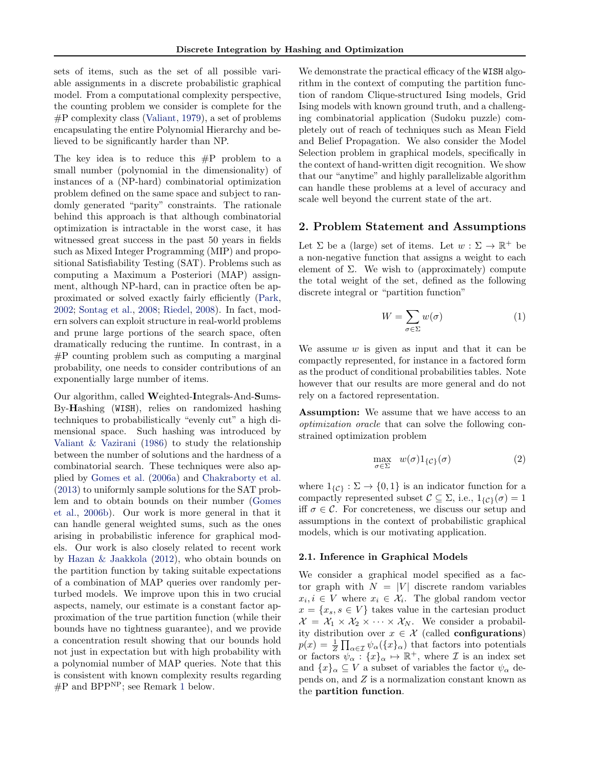<span id="page-1-0"></span>sets of items, such as the set of all possible variable assignments in a discrete probabilistic graphical model. From a computational complexity perspective, the counting problem we consider is complete for the #P complexity class [\(Valiant,](#page-8-0) [1979\)](#page-8-0), a set of problems encapsulating the entire Polynomial Hierarchy and believed to be significantly harder than NP.

The key idea is to reduce this  $\#P$  problem to a small number (polynomial in the dimensionality) of instances of a (NP-hard) combinatorial optimization problem defined on the same space and subject to randomly generated "parity" constraints. The rationale behind this approach is that although combinatorial optimization is intractable in the worst case, it has witnessed great success in the past 50 years in fields such as Mixed Integer Programming (MIP) and propositional Satisfiability Testing (SAT). Problems such as computing a Maximum a Posteriori (MAP) assignment, although NP-hard, can in practice often be approximated or solved exactly fairly efficiently [\(Park,](#page-8-0) [2002;](#page-8-0) [Sontag et al.,](#page-8-0) [2008;](#page-8-0) [Riedel,](#page-8-0) [2008\)](#page-8-0). In fact, modern solvers can exploit structure in real-world problems and prune large portions of the search space, often dramatically reducing the runtime. In contrast, in a #P counting problem such as computing a marginal probability, one needs to consider contributions of an exponentially large number of items.

Our algorithm, called Weighted-Integrals-And-Sums-By-Hashing (WISH), relies on randomized hashing techniques to probabilistically "evenly cut" a high dimensional space. Such hashing was introduced by [Valiant & Vazirani](#page-8-0) [\(1986\)](#page-8-0) to study the relationship between the number of solutions and the hardness of a combinatorial search. These techniques were also applied by [Gomes et al.](#page-8-0) [\(2006a\)](#page-8-0) and [Chakraborty et al.](#page-8-0) [\(2013\)](#page-8-0) to uniformly sample solutions for the SAT problem and to obtain bounds on their number [\(Gomes](#page-8-0) [et al.,](#page-8-0) [2006b\)](#page-8-0). Our work is more general in that it can handle general weighted sums, such as the ones arising in probabilistic inference for graphical models. Our work is also closely related to recent work by [Hazan & Jaakkola](#page-8-0) [\(2012\)](#page-8-0), who obtain bounds on the partition function by taking suitable expectations of a combination of MAP queries over randomly perturbed models. We improve upon this in two crucial aspects, namely, our estimate is a constant factor approximation of the true partition function (while their bounds have no tightness guarantee), and we provide a concentration result showing that our bounds hold not just in expectation but with high probability with a polynomial number of MAP queries. Note that this is consistent with known complexity results regarding #P and BPP<sup>NP</sup>; see Remark [1](#page-3-0) below.

We demonstrate the practical efficacy of the WISH algorithm in the context of computing the partition function of random Clique-structured Ising models, Grid Ising models with known ground truth, and a challenging combinatorial application (Sudoku puzzle) completely out of reach of techniques such as Mean Field and Belief Propagation. We also consider the Model Selection problem in graphical models, specifically in the context of hand-written digit recognition. We show that our "anytime" and highly parallelizable algorithm can handle these problems at a level of accuracy and scale well beyond the current state of the art.

## 2. Problem Statement and Assumptions

Let  $\Sigma$  be a (large) set of items. Let  $w : \Sigma \to \mathbb{R}^+$  be a non-negative function that assigns a weight to each element of  $\Sigma$ . We wish to (approximately) compute the total weight of the set, defined as the following discrete integral or "partition function"

$$
W = \sum_{\sigma \in \Sigma} w(\sigma) \tag{1}
$$

We assume  $w$  is given as input and that it can be compactly represented, for instance in a factored form as the product of conditional probabilities tables. Note however that our results are more general and do not rely on a factored representation.

Assumption: We assume that we have access to an optimization oracle that can solve the following constrained optimization problem

$$
\max_{\sigma \in \Sigma} \quad w(\sigma) 1_{\{\mathcal{C}\}}(\sigma) \tag{2}
$$

where  $1_{\{\mathcal{C}\}} : \Sigma \to \{0,1\}$  is an indicator function for a compactly represented subset  $\mathcal{C} \subseteq \Sigma$ , i.e.,  $1_{\{\mathcal{C}\}}(\sigma) = 1$ iff  $\sigma \in \mathcal{C}$ . For concreteness, we discuss our setup and assumptions in the context of probabilistic graphical models, which is our motivating application.

#### 2.1. Inference in Graphical Models

We consider a graphical model specified as a factor graph with  $N = |V|$  discrete random variables  $x_i, i \in V$  where  $x_i \in \mathcal{X}_i$ . The global random vector  $x = \{x_s, s \in V\}$  takes value in the cartesian product  $\mathcal{X} = \mathcal{X}_1 \times \mathcal{X}_2 \times \cdots \times \mathcal{X}_N$ . We consider a probability distribution over  $x \in \mathcal{X}$  (called **configurations**)  $p(x) = \frac{1}{Z} \prod_{\alpha \in \mathcal{I}} \psi_{\alpha}(\{x\}_{\alpha})$  that factors into potentials or factors  $\psi_{\alpha} : \{x\}_{\alpha} \mapsto \mathbb{R}^{+}$ , where  $\mathcal I$  is an index set and  $\{x\}_\alpha \subseteq V$  a subset of variables the factor  $\psi_\alpha$  depends on, and Z is a normalization constant known as the partition function.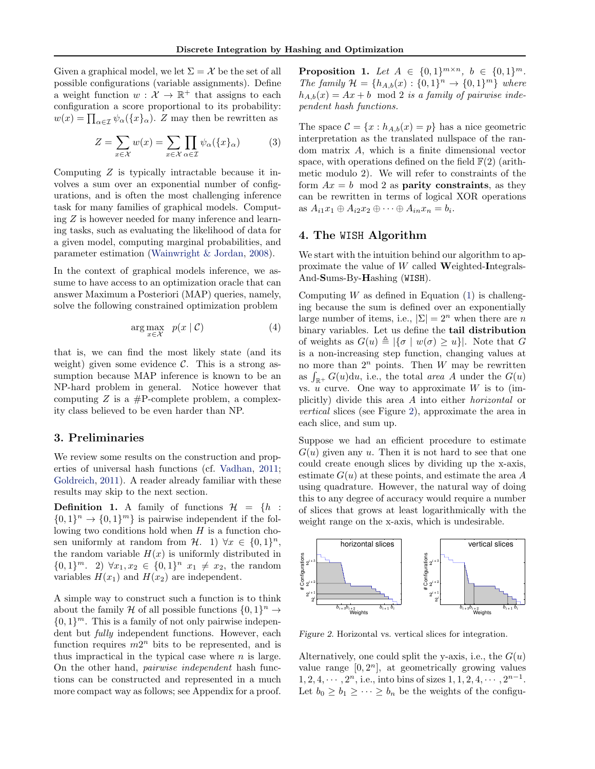<span id="page-2-0"></span>Given a graphical model, we let  $\Sigma = \mathcal{X}$  be the set of all possible configurations (variable assignments). Define a weight function  $w: \mathcal{X} \to \mathbb{R}^+$  that assigns to each configuration a score proportional to its probability:  $w(x) = \prod_{\alpha \in \mathcal{I}} \psi_{\alpha}(\{x\}_{\alpha})$ . Z may then be rewritten as

$$
Z = \sum_{x \in \mathcal{X}} w(x) = \sum_{x \in \mathcal{X}} \prod_{\alpha \in \mathcal{I}} \psi_{\alpha}(\{x\}_{\alpha})
$$
(3)

Computing Z is typically intractable because it involves a sum over an exponential number of configurations, and is often the most challenging inference task for many families of graphical models. Computing Z is however needed for many inference and learning tasks, such as evaluating the likelihood of data for a given model, computing marginal probabilities, and parameter estimation [\(Wainwright & Jordan,](#page-8-0) [2008\)](#page-8-0).

In the context of graphical models inference, we assume to have access to an optimization oracle that can answer Maximum a Posteriori (MAP) queries, namely, solve the following constrained optimization problem

$$
\arg \max_{x \in \mathcal{X}} \quad p(x \mid \mathcal{C}) \tag{4}
$$

that is, we can find the most likely state (and its weight) given some evidence  $\mathcal{C}$ . This is a strong assumption because MAP inference is known to be an NP-hard problem in general. Notice however that computing  $Z$  is a  $\#P$ -complete problem, a complexity class believed to be even harder than NP.

## 3. Preliminaries

We review some results on the construction and properties of universal hash functions (cf. [Vadhan,](#page-8-0) [2011;](#page-8-0) [Goldreich,](#page-8-0) [2011\)](#page-8-0). A reader already familiar with these results may skip to the next section.

**Definition 1.** A family of functions  $\mathcal{H} = \{h :$  $\{0,1\}^n \rightarrow \{0,1\}^m$  is pairwise independent if the following two conditions hold when  $H$  is a function chosen uniformly at random from  $\mathcal{H}$ . 1)  $\forall x \in \{0,1\}^n$ , the random variable  $H(x)$  is uniformly distributed in  ${0,1}^m$ . 2)  $\forall x_1, x_2 \in {0,1}^n$   $x_1 \neq x_2$ , the random variables  $H(x_1)$  and  $H(x_2)$  are independent.

A simple way to construct such a function is to think about the family H of all possible functions  $\{0,1\}^n \to$  $\{0,1\}^m$ . This is a family of not only pairwise independent but *fully* independent functions. However, each function requires  $m2^n$  bits to be represented, and is thus impractical in the typical case where  $n$  is large. On the other hand, pairwise independent hash functions can be constructed and represented in a much more compact way as follows; see Appendix for a proof.

**Proposition 1.** Let  $A \in \{0,1\}^{m \times n}, b \in \{0,1\}^m$ . The family  $\mathcal{H} = \{h_{A,b}(x) : \{0,1\}^n \to \{0,1\}^m\}$  where  $h_{A,b}(x) = Ax + b \mod 2$  is a family of pairwise independent hash functions.

The space  $\mathcal{C} = \{x : h_{A,b}(x) = p\}$  has a nice geometric interpretation as the translated nullspace of the random matrix A, which is a finite dimensional vector space, with operations defined on the field  $\mathbb{F}(2)$  (arithmetic modulo 2). We will refer to constraints of the form  $Ax = b \mod 2$  as **parity constraints**, as they can be rewritten in terms of logical XOR operations as  $A_{i1}x_1 \oplus A_{i2}x_2 \oplus \cdots \oplus A_{in}x_n = b_i$ .

# 4. The WISH Algorithm

We start with the intuition behind our algorithm to approximate the value of  $W$  called Weighted-Integrals-And-Sums-By-Hashing (WISH).

Computing  $W$  as defined in Equation [\(1\)](#page-1-0) is challenging because the sum is defined over an exponentially large number of items, i.e.,  $|\Sigma| = 2^n$  when there are n binary variables. Let us define the tail distribution of weights as  $G(u) \triangleq |\{\sigma | w(\sigma) \geq u\}|$ . Note that G is a non-increasing step function, changing values at no more than  $2^n$  points. Then W may be rewritten as  $\int_{\mathbb{R}^+} G(u) \mathrm{d}u$ , i.e., the total area A under the  $G(u)$ vs.  $u$  curve. One way to approximate  $W$  is to (implicitly) divide this area A into either horizontal or vertical slices (see Figure 2), approximate the area in each slice, and sum up.

Suppose we had an efficient procedure to estimate  $G(u)$  given any u. Then it is not hard to see that one could create enough slices by dividing up the x-axis, estimate  $G(u)$  at these points, and estimate the area A using quadrature. However, the natural way of doing this to any degree of accuracy would require a number of slices that grows at least logarithmically with the weight range on the x-axis, which is undesirable.



Figure 2. Horizontal vs. vertical slices for integration.

Alternatively, one could split the y-axis, i.e., the  $G(u)$ value range  $[0, 2^n]$ , at geometrically growing values  $1, 2, 4, \cdots, 2^n$ , i.e., into bins of sizes  $1, 1, 2, 4, \cdots, 2^{n-1}$ . Let  $b_0 \geq b_1 \geq \cdots \geq b_n$  be the weights of the configu-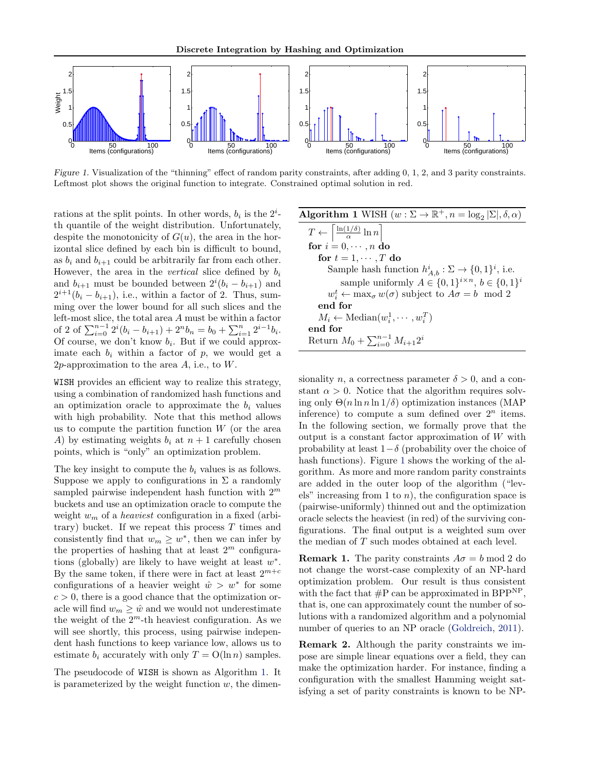<span id="page-3-0"></span>

Figure 1. Visualization of the "thinning" effect of random parity constraints, after adding 0, 1, 2, and 3 parity constraints. Leftmost plot shows the original function to integrate. Constrained optimal solution in red.

rations at the split points. In other words,  $b_i$  is the  $2^i$ th quantile of the weight distribution. Unfortunately, despite the monotonicity of  $G(u)$ , the area in the horizontal slice defined by each bin is difficult to bound, as  $b_i$  and  $b_{i+1}$  could be arbitrarily far from each other. However, the area in the *vertical* slice defined by  $b_i$ and  $b_{i+1}$  must be bounded between  $2^{i}(b_{i} - b_{i+1})$  and  $2^{i+1}(b_i - b_{i+1}),$  i.e., within a factor of 2. Thus, summing over the lower bound for all such slices and the left-most slice, the total area A must be within a factor of 2 of  $\sum_{i=0}^{n-1} 2^i (b_i - b_{i+1}) + 2^n b_n = b_0 + \sum_{i=1}^{n} 2^{i-1} b_i$ . Of course, we don't know  $b_i$ . But if we could approximate each  $b_i$  within a factor of p, we would get a 2p-approximation to the area  $A$ , i.e., to  $W$ .

WISH provides an efficient way to realize this strategy, using a combination of randomized hash functions and an optimization oracle to approximate the  $b_i$  values with high probability. Note that this method allows us to compute the partition function  $W$  (or the area A) by estimating weights  $b_i$  at  $n+1$  carefully chosen points, which is "only" an optimization problem.

The key insight to compute the  $b_i$  values is as follows. Suppose we apply to configurations in  $\Sigma$  a randomly sampled pairwise independent hash function with  $2^m$ buckets and use an optimization oracle to compute the weight  $w_m$  of a *heaviest* configuration in a fixed (arbitrary) bucket. If we repeat this process  $T$  times and consistently find that  $w_m \geq w^*$ , then we can infer by the properties of hashing that at least  $2^m$  configurations (globally) are likely to have weight at least  $w^*$ . By the same token, if there were in fact at least  $2^{m+c}$ configurations of a heavier weight  $\hat{w} > w^*$  for some  $c > 0$ , there is a good chance that the optimization oracle will find  $w_m \geq \hat{w}$  and we would not underestimate the weight of the  $2^m$ -th heaviest configuration. As we will see shortly, this process, using pairwise independent hash functions to keep variance low, allows us to estimate  $b_i$  accurately with only  $T = O(\ln n)$  samples.

The pseudocode of WISH is shown as Algorithm 1. It is parameterized by the weight function  $w$ , the dimen-

| <b>Algorithm 1</b> WISH $(w : \Sigma \to \mathbb{R}^+, n = \log_2  \Sigma , \delta, \alpha)$ |
|----------------------------------------------------------------------------------------------|
| $T \leftarrow \left\lceil \frac{\ln(1/\delta)}{\alpha} \ln n \right\rceil$                   |
| for $i = 0, \dots, n$ do                                                                     |
| for $t = 1, \dots, T$ do                                                                     |
| Sample hash function $h_{A,b}^i : \Sigma \to \{0,1\}^i$ , i.e.                               |
| sample uniformly $A \in \{0,1\}^{i \times n}, b \in \{0,1\}^i$                               |
| $w_i^t \leftarrow \max_{\sigma} w(\sigma)$ subject to $A\sigma = b \mod 2$                   |
| end for                                                                                      |
| $M_i \leftarrow \text{Median}(w_i^1, \cdots, w_i^T)$                                         |
| end for                                                                                      |
| Return $M_0 + \sum_{i=0}^{n-1} M_{i+1} 2^i$                                                  |

sionality n, a correctness parameter  $\delta > 0$ , and a constant  $\alpha > 0$ . Notice that the algorithm requires solving only  $\Theta(n \ln n \ln 1/\delta)$  optimization instances (MAP inference) to compute a sum defined over  $2^n$  items. In the following section, we formally prove that the output is a constant factor approximation of W with probability at least  $1-\delta$  (probability over the choice of hash functions). Figure 1 shows the working of the algorithm. As more and more random parity constraints are added in the outer loop of the algorithm ("levels" increasing from 1 to  $n$ ), the configuration space is (pairwise-uniformly) thinned out and the optimization oracle selects the heaviest (in red) of the surviving configurations. The final output is a weighted sum over the median of T such modes obtained at each level.

**Remark 1.** The parity constraints  $A\sigma = b \mod 2$  do not change the worst-case complexity of an NP-hard optimization problem. Our result is thus consistent with the fact that  $\#P$  can be approximated in BPP<sup>NP</sup>, that is, one can approximately count the number of solutions with a randomized algorithm and a polynomial number of queries to an NP oracle [\(Goldreich,](#page-8-0) [2011\)](#page-8-0).

Remark 2. Although the parity constraints we impose are simple linear equations over a field, they can make the optimization harder. For instance, finding a configuration with the smallest Hamming weight satisfying a set of parity constraints is known to be NP-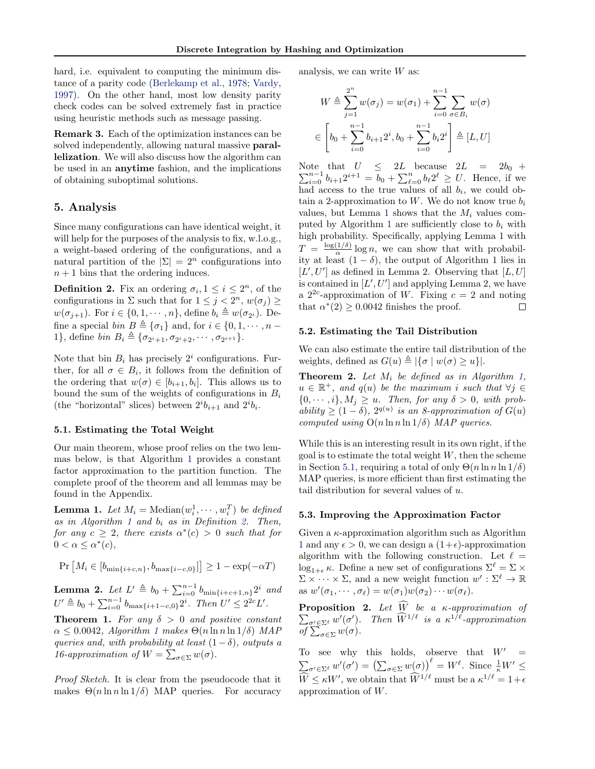<span id="page-4-0"></span>hard, i.e. equivalent to computing the minimum distance of a parity code [\(Berlekamp et al.,](#page-8-0) [1978;](#page-8-0) [Vardy,](#page-8-0) [1997\)](#page-8-0). On the other hand, most low density parity check codes can be solved extremely fast in practice using heuristic methods such as message passing.

Remark 3. Each of the optimization instances can be solved independently, allowing natural massive parallelization. We will also discuss how the algorithm can be used in an anytime fashion, and the implications of obtaining suboptimal solutions.

## 5. Analysis

Since many configurations can have identical weight, it will help for the purposes of the analysis to fix, w.l.o.g., a weight-based ordering of the configurations, and a natural partition of the  $|\Sigma| = 2^n$  configurations into  $n + 1$  bins that the ordering induces.

**Definition 2.** Fix an ordering  $\sigma_i$ ,  $1 \leq i \leq 2^n$ , of the configurations in  $\Sigma$  such that for  $1 \leq j < 2^n$ ,  $w(\sigma_j) \geq$  $w(\sigma_{j+1})$ . For  $i \in \{0, 1, \cdots, n\}$ , define  $b_i \triangleq w(\sigma_{2^i})$ . Define a special bin  $B \triangleq \{\sigma_1\}$  and, for  $i \in \{0, 1, \cdots, n -$ 1}, define  $\text{bin } B_i \triangleq \{ \sigma_{2^i+1}, \sigma_{2^i+2}, \cdots, \sigma_{2^{i+1}} \}.$ 

Note that bin  $B_i$  has precisely  $2^i$  configurations. Further, for all  $\sigma \in B_i$ , it follows from the definition of the ordering that  $w(\sigma) \in [b_{i+1}, b_i]$ . This allows us to bound the sum of the weights of configurations in  $B_i$ (the "horizontal" slices) between  $2^i b_{i+1}$  and  $2^i b_i$ .

### 5.1. Estimating the Total Weight

Our main theorem, whose proof relies on the two lemmas below, is that Algorithm [1](#page-3-0) provides a constant factor approximation to the partition function. The complete proof of the theorem and all lemmas may be found in the Appendix.

**Lemma 1.** Let  $M_i = \text{Median}(w_i^1, \dots, w_i^T)$  be defined as in Algorithm [1](#page-3-0) and  $b_i$  as in Definition 2. Then, for any  $c \geq 2$ , there exists  $\alpha^*(c) > 0$  such that for  $0 < \alpha \leq \alpha^*(c),$ 

$$
Pr\left[M_i \in [b_{\min\{i+c,n\}}, b_{\max\{i-c,0\}}]\right] \ge 1 - \exp(-\alpha T)
$$

**Lemma 2.** Let  $L' \triangleq b_0 + \sum_{i=0}^{n-1} b_{\min\{i+c+1,n\}} 2^i$  and  $U' \triangleq b_0 + \sum_{i=0}^{n-1} b_{\max\{i+1-c,0\}} 2^i$ . Then  $U' \leq 2^{2c} L'$ .

**Theorem 1.** For any  $\delta > 0$  and positive constant  $\alpha \leq 0.0042$ , Algorithm [1](#page-3-0) makes  $\Theta(n \ln n \ln 1/\delta)$  MAP queries and, with probability at least  $(1 - \delta)$ , outputs a 16-approximation of  $W = \sum_{\sigma \in \Sigma} w(\sigma)$ .

Proof Sketch. It is clear from the pseudocode that it makes  $\Theta(n \ln n \ln 1/\delta)$  MAP queries. For accuracy analysis, we can write  $W$  as:

$$
W \triangleq \sum_{j=1}^{2^n} w(\sigma_j) = w(\sigma_1) + \sum_{i=0}^{n-1} \sum_{\sigma \in B_i} w(\sigma)
$$
  

$$
\in \left[ b_0 + \sum_{i=0}^{n-1} b_{i+1} 2^i, b_0 + \sum_{i=0}^{n-1} b_i 2^i \right] \triangleq [L, U]
$$

Note that bte that  $U \leq 2L$  because  $2L = 2b_0 +$ <br>  $\sum_{i=0}^{n-1} b_{i+1} 2^{i+1} = b_0 + \sum_{\ell=0}^n b_{\ell} 2^{\ell} \geq U$ . Hence, if we P had access to the true values of all  $b_i$ , we could obtain a 2-approximation to  $W$ . We do not know true  $b_i$ values, but Lemma 1 shows that the  $M_i$  values com-puted by Algorithm [1](#page-3-0) are sufficiently close to  $b_i$  with high probability. Specifically, applying Lemma 1 with  $T = \frac{\log(1/\delta)}{\alpha}$  $\frac{(1/\delta)}{\alpha} \log n$ , we can show that with probability at least  $(1 - \delta)$ , the output of Algorithm 1 lies in  $[L', U']$  as defined in Lemma 2. Observing that  $[L, U]$ is contained in  $[L', U']$  and applying Lemma 2, we have a  $2^{2c}$ -approximation of W. Fixing  $c = 2$  and noting that  $\alpha^*(2) \geq 0.0042$  finishes the proof.  $\Box$ 

### 5.2. Estimating the Tail Distribution

We can also estimate the entire tail distribution of the weights, defined as  $G(u) \triangleq |\{\sigma | w(\sigma) \geq u\}|$ .

**Theorem 2.** Let  $M_i$  be defined as in Algorithm [1,](#page-3-0)  $u \in \mathbb{R}^+$ , and  $q(u)$  be the maximum i such that  $\forall j \in$  $\{0, \dots, i\}, M_i \geq u$ . Then, for any  $\delta > 0$ , with probability  $\geq (1 - \delta)$ ,  $2^{q(u)}$  is an 8-approximation of  $G(u)$ computed using  $O(n \ln n \ln 1/\delta)$  MAP queries.

While this is an interesting result in its own right, if the goal is to estimate the total weight  $W$ , then the scheme in Section 5.1, requiring a total of only  $\Theta(n \ln n \ln 1/\delta)$ MAP queries, is more efficient than first estimating the tail distribution for several values of  $u$ .

#### 5.3. Improving the Approximation Factor

Given a  $\kappa$ -approximation algorithm such as Algorithm [1](#page-3-0) and any  $\epsilon > 0$ , we can design a  $(1+\epsilon)$ -approximation algorithm with the following construction. Let  $\ell =$  $\log_{1+\epsilon} \kappa$ . Define a new set of configurations  $\Sigma^{\ell} = \Sigma \times$  $\Sigma \times \cdots \times \Sigma$ , and a new weight function  $w' : \Sigma^{\ell} \to \mathbb{R}$ as  $w'(\sigma_1, \dots, \sigma_\ell) = w(\sigma_1)w(\sigma_2)\dotsw(\sigma_\ell).$ 

**Proposition 2.** Let  $W$  be a κ-approximation of  $\sum_{\substack{\sigma' \in \Sigma^{\ell}}} w'(\sigma')$ . Then  $\widehat{W}^{1/\ell}$  is a  $\kappa^{1/\ell}$ -approximation of  $\sum_{\sigma \in \Sigma} w(\sigma)$ .

To see why this holds, observe that  $W' =$  $\sum_{\sigma' \in \Sigma^{\ell}} w'(\sigma') = (\sum_{\sigma \in \Sigma} w(\sigma))^{\ell} = W^{\ell}$ . Since  $\frac{1}{\kappa} W' \leq$  $\widehat{W} \leq \kappa W'$ , we obtain that  $\widehat{W}^{1/\ell}$  must be a  $\kappa^{1/\ell} = 1 + \epsilon$ approximation of W.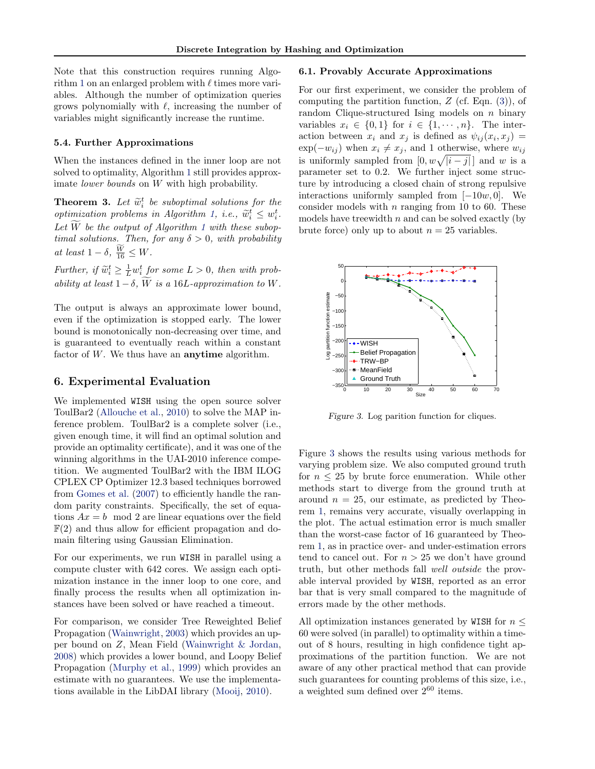<span id="page-5-0"></span>Note that this construction requires running Algo-rithm [1](#page-3-0) on an enlarged problem with  $\ell$  times more variables. Although the number of optimization queries grows polynomially with  $\ell$ , increasing the number of variables might significantly increase the runtime.

### 5.4. Further Approximations

When the instances defined in the inner loop are not solved to optimality, Algorithm [1](#page-3-0) still provides approximate *lower* bounds on W with high probability.

**Theorem 3.** Let  $\widetilde{w}_i^t$  be suboptimal solutions for the entimization problems in Algorithm 1, i.e.,  $\widetilde{w}_i^t \leq w_i^t$ optimization problems in Algorithm [1,](#page-3-0) i.e.,  $\widetilde{w}_i^t \leq w_i^t$ .<br>Let  $\widetilde{W}_i$  be the entry of Algorithm 1 with these veloci-Let  $\overline{W}$  be the output of Algorithm [1](#page-3-0) with these suboptimal solutions. Then, for any  $\delta > 0$ , with probability at least  $1 - \delta$ ,  $\frac{W}{16} \leq W$ .

Further, if  $\widetilde{w}_i^t \geq \frac{1}{L} w_i^t$  for some  $L > 0$ , then with probability at least  $1-\delta$ ,  $\widetilde{W}$  is a 16L-approximation to W.

The output is always an approximate lower bound, even if the optimization is stopped early. The lower bound is monotonically non-decreasing over time, and is guaranteed to eventually reach within a constant factor of  $W$ . We thus have an **anytime** algorithm.

## 6. Experimental Evaluation

We implemented WISH using the open source solver ToulBar2 [\(Allouche et al.,](#page-8-0) [2010\)](#page-8-0) to solve the MAP inference problem. ToulBar2 is a complete solver (i.e., given enough time, it will find an optimal solution and provide an optimality certificate), and it was one of the winning algorithms in the UAI-2010 inference competition. We augmented ToulBar2 with the IBM ILOG CPLEX CP Optimizer 12.3 based techniques borrowed from [Gomes et al.](#page-8-0) [\(2007\)](#page-8-0) to efficiently handle the random parity constraints. Specifically, the set of equations  $Ax = b \mod 2$  are linear equations over the field  $F(2)$  and thus allow for efficient propagation and domain filtering using Gaussian Elimination.

For our experiments, we run WISH in parallel using a compute cluster with 642 cores. We assign each optimization instance in the inner loop to one core, and finally process the results when all optimization instances have been solved or have reached a timeout.

For comparison, we consider Tree Reweighted Belief Propagation [\(Wainwright,](#page-8-0) [2003\)](#page-8-0) which provides an upper bound on Z, Mean Field [\(Wainwright & Jordan,](#page-8-0) [2008\)](#page-8-0) which provides a lower bound, and Loopy Belief Propagation [\(Murphy et al.,](#page-8-0) [1999\)](#page-8-0) which provides an estimate with no guarantees. We use the implementations available in the LibDAI library [\(Mooij,](#page-8-0) [2010\)](#page-8-0).

## 6.1. Provably Accurate Approximations

For our first experiment, we consider the problem of computing the partition function,  $Z$  (cf. Eqn. [\(3\)](#page-2-0)), of random Clique-structured Ising models on  $n$  binary variables  $x_i \in \{0,1\}$  for  $i \in \{1,\dots,n\}$ . The interaction between  $x_i$  and  $x_j$  is defined as  $\psi_{ij}(x_i, x_j) =$  $\exp(-w_{ij})$  when  $x_i \neq x_j$ , and 1 otherwise, where  $w_{ij}$ is uniformly sampled from  $[0, w\sqrt{|i-j|}]$  and w is a parameter set to 0.2. We further inject some structure by introducing a closed chain of strong repulsive interactions uniformly sampled from  $[-10w, 0]$ . We consider models with  $n$  ranging from 10 to 60. These models have treewidth  $n$  and can be solved exactly (by brute force) only up to about  $n = 25$  variables.



Figure 3. Log parition function for cliques.

Figure 3 shows the results using various methods for varying problem size. We also computed ground truth for  $n \leq 25$  by brute force enumeration. While other methods start to diverge from the ground truth at around  $n = 25$ , our estimate, as predicted by Theorem [1,](#page-4-0) remains very accurate, visually overlapping in the plot. The actual estimation error is much smaller than the worst-case factor of 16 guaranteed by Theorem [1,](#page-4-0) as in practice over- and under-estimation errors tend to cancel out. For  $n > 25$  we don't have ground truth, but other methods fall well outside the provable interval provided by WISH, reported as an error bar that is very small compared to the magnitude of errors made by the other methods.

All optimization instances generated by WISH for  $n \leq$ 60 were solved (in parallel) to optimality within a timeout of 8 hours, resulting in high confidence tight approximations of the partition function. We are not aware of any other practical method that can provide such guarantees for counting problems of this size, i.e., a weighted sum defined over  $2^{60}$  items.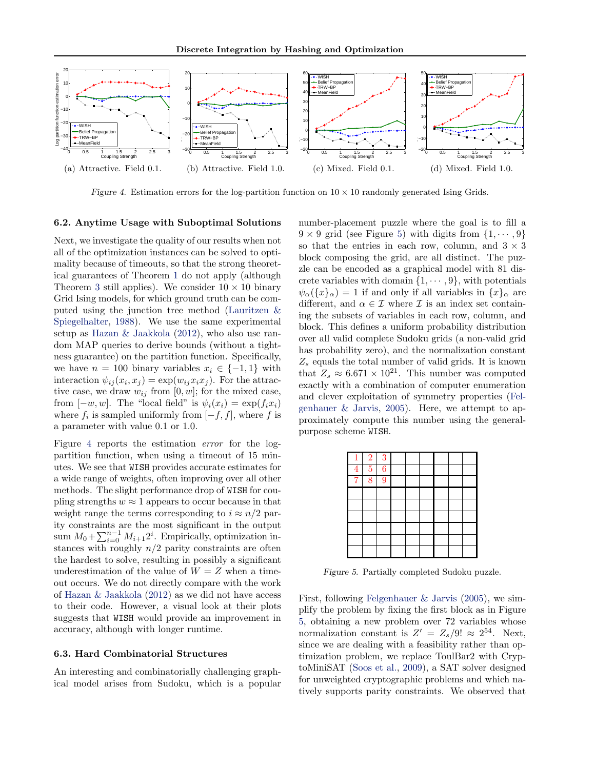

Figure 4. Estimation errors for the log-partition function on  $10 \times 10$  randomly generated Ising Grids.

## 6.2. Anytime Usage with Suboptimal Solutions

Next, we investigate the quality of our results when not all of the optimization instances can be solved to optimality because of timeouts, so that the strong theoretical guarantees of Theorem [1](#page-4-0) do not apply (although Theorem [3](#page-5-0) still applies). We consider  $10 \times 10$  binary Grid Ising models, for which ground truth can be computed using the junction tree method [\(Lauritzen &](#page-8-0) [Spiegelhalter,](#page-8-0) [1988\)](#page-8-0). We use the same experimental setup as [Hazan & Jaakkola](#page-8-0) [\(2012\)](#page-8-0), who also use random MAP queries to derive bounds (without a tightness guarantee) on the partition function. Specifically, we have  $n = 100$  binary variables  $x_i \in \{-1, 1\}$  with interaction  $\psi_{ij}(x_i, x_j) = \exp(w_{ij} x_i x_j)$ . For the attractive case, we draw  $w_{ij}$  from [0, w]; for the mixed case, from  $[-w, w]$ . The "local field" is  $\psi_i(x_i) = \exp(f_i x_i)$ where  $f_i$  is sampled uniformly from  $[-f, f]$ , where f is a parameter with value 0.1 or 1.0.

Figure 4 reports the estimation error for the logpartition function, when using a timeout of 15 minutes. We see that WISH provides accurate estimates for a wide range of weights, often improving over all other methods. The slight performance drop of WISH for coupling strengths  $w \approx 1$  appears to occur because in that weight range the terms corresponding to  $i \approx n/2$  parity constraints are the most significant in the output sum  $M_0 + \sum_{i=0}^{n-1} M_{i+1} 2^i$ . Empirically, optimization instances with roughly  $n/2$  parity constraints are often the hardest to solve, resulting in possibly a significant underestimation of the value of  $W = Z$  when a timeout occurs. We do not directly compare with the work of [Hazan & Jaakkola](#page-8-0) [\(2012\)](#page-8-0) as we did not have access to their code. However, a visual look at their plots suggests that WISH would provide an improvement in accuracy, although with longer runtime.

### 6.3. Hard Combinatorial Structures

An interesting and combinatorially challenging graphical model arises from Sudoku, which is a popular number-placement puzzle where the goal is to fill a  $9 \times 9$  grid (see Figure 5) with digits from  $\{1, \dots, 9\}$ so that the entries in each row, column, and  $3 \times 3$ block composing the grid, are all distinct. The puzzle can be encoded as a graphical model with 81 discrete variables with domain  $\{1, \dots, 9\}$ , with potentials  $\psi_{\alpha}(\{x\}_{\alpha})=1$  if and only if all variables in  $\{x\}_{\alpha}$  are different, and  $\alpha \in \mathcal{I}$  where  $\mathcal{I}$  is an index set containing the subsets of variables in each row, column, and block. This defines a uniform probability distribution over all valid complete Sudoku grids (a non-valid grid has probability zero), and the normalization constant  $Z_s$  equals the total number of valid grids. It is known that  $Z_s \approx 6.671 \times 10^{21}$ . This number was computed exactly with a combination of computer enumeration and clever exploitation of symmetry properties [\(Fel](#page-8-0)genhauer  $\&$  Jarvis, [2005\)](#page-8-0). Here, we attempt to approximately compute this number using the generalpurpose scheme WISH.

| $\mathbf{1}$   | $\boldsymbol{2}$ | $\overline{3}$ |  |  |  |
|----------------|------------------|----------------|--|--|--|
| $\overline{4}$ | $\overline{5}$   | $\overline{6}$ |  |  |  |
| $\overline{7}$ | $\overline{8}$   | $\overline{9}$ |  |  |  |
|                |                  |                |  |  |  |
|                |                  |                |  |  |  |
|                |                  |                |  |  |  |
|                |                  |                |  |  |  |
|                |                  |                |  |  |  |
|                |                  |                |  |  |  |

Figure 5. Partially completed Sudoku puzzle.

First, following [Felgenhauer & Jarvis](#page-8-0) [\(2005\)](#page-8-0), we simplify the problem by fixing the first block as in Figure 5, obtaining a new problem over 72 variables whose normalization constant is  $Z' = Z_s/9! \approx 2^{54}$ . Next, since we are dealing with a feasibility rather than optimization problem, we replace ToulBar2 with CryptoMiniSAT [\(Soos et al.,](#page-8-0) [2009\)](#page-8-0), a SAT solver designed for unweighted cryptographic problems and which natively supports parity constraints. We observed that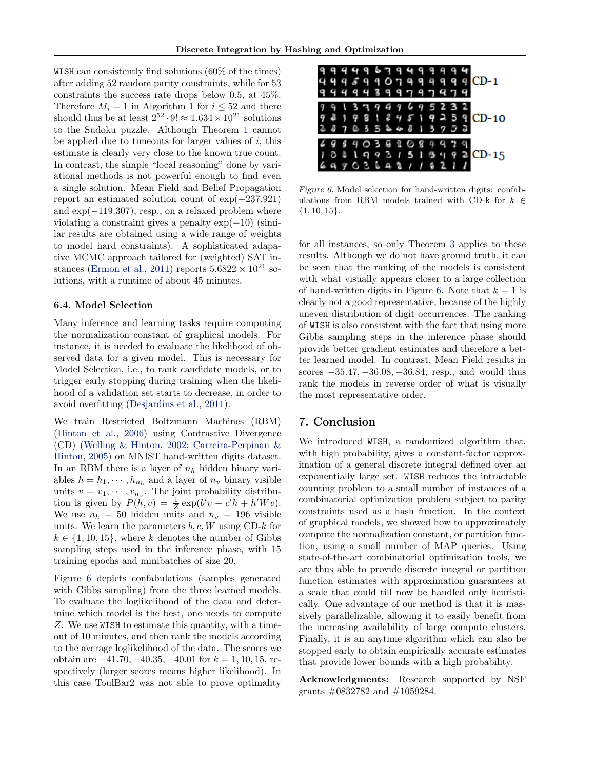WISH can consistently find solutions (60% of the times) after adding 52 random parity constraints, while for 53 constraints the success rate drops below 0.5, at 45%. Therefore  $M_i = 1$  $M_i = 1$  in Algorithm 1 for  $i \leq 52$  and there should thus be at least  $2^{52} \cdot 9! \approx 1.634 \times 10^{21}$  solutions to the Sudoku puzzle. Although Theorem [1](#page-4-0) cannot be applied due to timeouts for larger values of  $i$ , this estimate is clearly very close to the known true count. In contrast, the simple "local reasoning" done by variational methods is not powerful enough to find even a single solution. Mean Field and Belief Propagation report an estimated solution count of exp(−237.921) and  $\exp(-119.307)$ , resp., on a relaxed problem where violating a constraint gives a penalty  $\exp(-10)$  (similar results are obtained using a wide range of weights to model hard constraints). A sophisticated adapative MCMC approach tailored for (weighted) SAT in-stances [\(Ermon et al.,](#page-8-0) [2011\)](#page-8-0) reports  $5.6822 \times 10^{21}$  solutions, with a runtime of about 45 minutes.

## 6.4. Model Selection

Many inference and learning tasks require computing the normalization constant of graphical models. For instance, it is needed to evaluate the likelihood of observed data for a given model. This is necessary for Model Selection, i.e., to rank candidate models, or to trigger early stopping during training when the likelihood of a validation set starts to decrease, in order to avoid overfitting [\(Desjardins et al.,](#page-8-0) [2011\)](#page-8-0).

We train Restricted Boltzmann Machines (RBM) [\(Hinton et al.,](#page-8-0) [2006\)](#page-8-0) using Contrastive Divergence (CD) [\(Welling & Hinton,](#page-8-0) [2002;](#page-8-0) [Carreira-Perpinan &](#page-8-0) [Hinton,](#page-8-0) [2005\)](#page-8-0) on MNIST hand-written digits dataset. In an RBM there is a layer of  $n_h$  hidden binary variables  $h = h_1, \dots, h_{n_h}$  and a layer of  $n_v$  binary visible units  $v = v_1, \dots, v_{n_v}$ . The joint probability distribution is given by  $P(h, v) = \frac{1}{Z} \exp(b'v + c'h + h'Wv).$ We use  $n_h = 50$  hidden units and  $n_v = 196$  visible units. We learn the parameters  $b, c, W$  using CD-k for  $k \in \{1, 10, 15\}$ , where k denotes the number of Gibbs sampling steps used in the inference phase, with 15 training epochs and minibatches of size 20.

Figure 6 depicts confabulations (samples generated with Gibbs sampling) from the three learned models. To evaluate the loglikelihood of the data and determine which model is the best, one needs to compute Z. We use WISH to estimate this quantity, with a timeout of 10 minutes, and then rank the models according to the average loglikelihood of the data. The scores we obtain are  $-41.70, -40.35, -40.01$  for  $k = 1, 10, 15$ , respectively (larger scores means higher likelihood). In this case ToulBar2 was not able to prove optimality



Figure 6. Model selection for hand-written digits: confabulations from RBM models trained with CD-k for  $k \in$  $\{1, 10, 15\}.$ 

for all instances, so only Theorem [3](#page-5-0) applies to these results. Although we do not have ground truth, it can be seen that the ranking of the models is consistent with what visually appears closer to a large collection of hand-written digits in Figure 6. Note that  $k = 1$  is clearly not a good representative, because of the highly uneven distribution of digit occurrences. The ranking of WISH is also consistent with the fact that using more Gibbs sampling steps in the inference phase should provide better gradient estimates and therefore a better learned model. In contrast, Mean Field results in scores  $-35.47, -36.08, -36.84$ , resp., and would thus rank the models in reverse order of what is visually the most representative order.

# 7. Conclusion

We introduced WISH, a randomized algorithm that, with high probability, gives a constant-factor approximation of a general discrete integral defined over an exponentially large set. WISH reduces the intractable counting problem to a small number of instances of a combinatorial optimization problem subject to parity constraints used as a hash function. In the context of graphical models, we showed how to approximately compute the normalization constant, or partition function, using a small number of MAP queries. Using state-of-the-art combinatorial optimization tools, we are thus able to provide discrete integral or partition function estimates with approximation guarantees at a scale that could till now be handled only heuristically. One advantage of our method is that it is massively parallelizable, allowing it to easily benefit from the increasing availability of large compute clusters. Finally, it is an anytime algorithm which can also be stopped early to obtain empirically accurate estimates that provide lower bounds with a high probability.

Acknowledgments: Research supported by NSF grants #0832782 and #1059284.